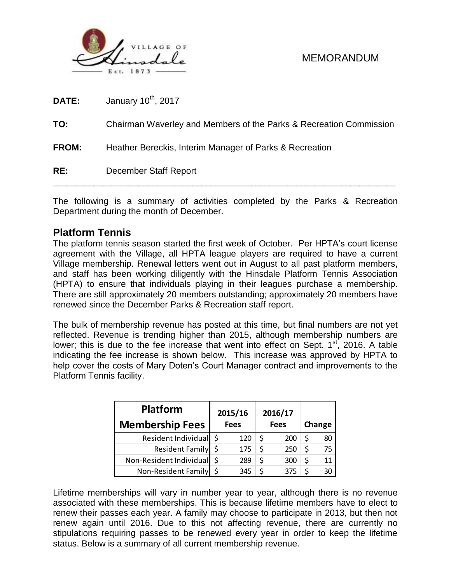

| RE:          | December Staff Report                                              |
|--------------|--------------------------------------------------------------------|
| <b>FROM:</b> | Heather Bereckis, Interim Manager of Parks & Recreation            |
| TO:          | Chairman Waverley and Members of the Parks & Recreation Commission |
| DATE:        | January 10 <sup>th</sup> , 2017                                    |

The following is a summary of activities completed by the Parks & Recreation Department during the month of December.

#### **Platform Tennis**

The platform tennis season started the first week of October. Per HPTA's court license agreement with the Village, all HPTA league players are required to have a current Village membership. Renewal letters went out in August to all past platform members, and staff has been working diligently with the Hinsdale Platform Tennis Association (HPTA) to ensure that individuals playing in their leagues purchase a membership. There are still approximately 20 members outstanding; approximately 20 members have renewed since the December Parks & Recreation staff report.

The bulk of membership revenue has posted at this time, but final numbers are not yet reflected. Revenue is trending higher than 2015, although membership numbers are lower; this is due to the fee increase that went into effect on Sept. 1<sup>st</sup>, 2016. A table indicating the fee increase is shown below. This increase was approved by HPTA to help cover the costs of Mary Doten's Court Manager contract and improvements to the Platform Tennis facility.

| <b>Platform</b>         | 2015/16     |     | 2016/17     |    |        |
|-------------------------|-------------|-----|-------------|----|--------|
| <b>Membership Fees</b>  | <b>Fees</b> |     | <b>Fees</b> |    | Change |
| Resident Individual     | 120         | \$  | 200         |    | 80     |
| Resident Family \$      | 175         | \$. | 250         | \$ | 75     |
| Non-Resident Individual | 289         |     | 300         | Ś  | 11     |
| Non-Resident Family     | 345         |     |             |    |        |

Lifetime memberships will vary in number year to year, although there is no revenue associated with these memberships. This is because lifetime members have to elect to renew their passes each year. A family may choose to participate in 2013, but then not renew again until 2016. Due to this not affecting revenue, there are currently no stipulations requiring passes to be renewed every year in order to keep the lifetime status. Below is a summary of all current membership revenue.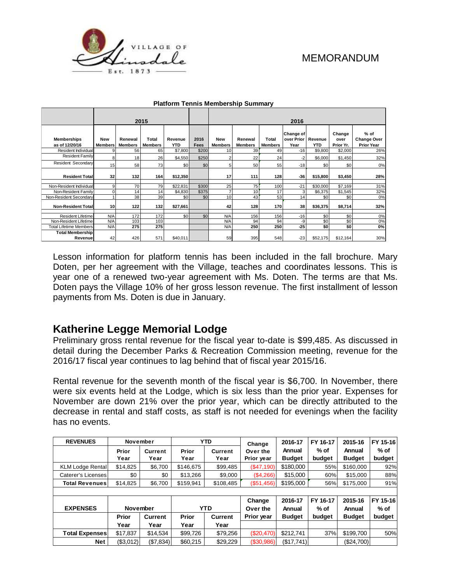

|                                      |                              |                           | 2015                           |                       |              | 2016                         |                           |                         |                                           |            |                             |                                                 |
|--------------------------------------|------------------------------|---------------------------|--------------------------------|-----------------------|--------------|------------------------------|---------------------------|-------------------------|-------------------------------------------|------------|-----------------------------|-------------------------------------------------|
| <b>Memberships</b><br>as of 12/20/16 | <b>New</b><br><b>Members</b> | Renewal<br><b>Members</b> | <b>Total</b><br><b>Members</b> | Revenue<br><b>YTD</b> | 2016<br>Fees | <b>New</b><br><b>Members</b> | Renewal<br><b>Members</b> | Total<br><b>Members</b> | Change of<br>over Prior   Revenue<br>Year | <b>YTD</b> | Change<br>over<br>Prior Yr. | % of<br><b>Change Over</b><br><b>Prior Year</b> |
| Resident Individual                  | q                            | 56                        | 65                             | \$7,800               | \$200        | 10                           | 39                        | 49                      | $-16$                                     | \$9,800    | \$2,000                     | 26%                                             |
| <b>Resident Family</b>               | 8                            | 18                        | 26                             | \$4,550               | \$250        | $\overline{c}$               | 22                        | 24                      | $-2$                                      | \$6,000    | \$1,450                     | 32%                                             |
| Resident Secondary                   | 15                           | 58                        | 73                             | \$0                   | \$0          | 5                            | 50                        | 55                      | $-18$                                     | \$0        | \$0                         | 0%                                              |
| <b>Resident Total</b>                | 32                           | 132                       | 164                            | \$12,350              |              | 17                           | 111                       | 128                     | $-36$                                     | \$15,800   | \$3,450                     | 28%                                             |
| Non-Resident Individual              | 9                            | 70                        | 79                             | \$22,831              | \$300        | 25                           | 75                        | 100                     | $-21$                                     | \$30,000   | \$7.169                     | 31%                                             |
| Non-Resident Family                  |                              | 14                        | 14                             | \$4,830               | \$375        | ٠                            | 10                        | 17                      | 3                                         | \$6,375    | \$1,545                     | 32%                                             |
| Non-Resident Secondary               |                              | 38                        | 39                             | \$0                   | \$0          | 10                           | 43                        | 53                      | 14                                        | \$0        | \$0                         | 0%                                              |
| <b>Non-Resident Totall</b>           | 10                           | 122                       | 132                            | \$27,661              |              | 42                           | 128                       | 170                     | 38                                        | \$36,375   | \$8,714                     | 32%                                             |
| <b>Resident Lifetime</b>             | N/A                          | 172                       | 172                            | \$0                   | \$0          | N/A                          | 156                       | 156                     | $-16$                                     | \$0        | \$0                         | 0%                                              |
| Non-Resident Lifetime                | N/A                          | 103                       | 103                            |                       |              | N/A                          | 94                        | 94                      | -9                                        | \$0        | \$0                         | 0%                                              |
| <b>Total Lifetime Members</b>        | N/A                          | 275                       | 275                            |                       |              | N/A                          | <b>250</b>                | 250                     | $-25$                                     | \$0        | \$0                         | 0%                                              |
| <b>Total Membership</b><br>Revenue   | 42                           | 426                       | 571                            | \$40,011              |              | 59                           | 395                       | 548                     | $-23$                                     | \$52,175   | \$12,164                    | 30%                                             |

#### **Platform Tennis Membership Summary**

Lesson information for platform tennis has been included in the fall brochure. Mary Doten, per her agreement with the Village, teaches and coordinates lessons. This is year one of a renewed two-year agreement with Ms. Doten. The terms are that Ms. Doten pays the Village 10% of her gross lesson revenue. The first installment of lesson payments from Ms. Doten is due in January.

# **Katherine Legge Memorial Lodge**

Preliminary gross rental revenue for the fiscal year to-date is \$99,485. As discussed in detail during the December Parks & Recreation Commission meeting, revenue for the 2016/17 fiscal year continues to lag behind that of fiscal year 2015/16.

Rental revenue for the seventh month of the fiscal year is \$6,700. In November, there were six events held at the Lodge, which is six less than the prior year. Expenses for November are down 21% over the prior year, which can be directly attributed to the decrease in rental and staff costs, as staff is not needed for evenings when the facility has no events.

| <b>REVENUES</b>         | November        |           |              | <b>YTD</b>     | Change     | 2016-17       | FY 16-17 | 2015-16       | FY 15-16 |
|-------------------------|-----------------|-----------|--------------|----------------|------------|---------------|----------|---------------|----------|
|                         | Prior           | Current   | Prior        | <b>Current</b> | Over the   | Annual        | % of     | Annual        | % of     |
|                         | Year            | Year      | Year         | Year           | Prior year | <b>Budget</b> | budget   | <b>Budget</b> | budget   |
| <b>KLM Lodge Rental</b> | \$14,825        | \$6,700   | \$146.675    | \$99,485       | (\$47,190) | \$180,000     | 55%      | \$160,000     | 92%      |
| Caterer's Licenses      | \$0             | \$0       | \$13,266     | \$9,000        | (\$4,266)  | \$15,000      | 60%      | \$15,000      | 88%      |
| <b>Total Revenues</b>   | \$14,825        | \$6,700   | \$159,941    | \$108,485      | (\$51,456) | \$195,000     | 56%      | \$175,000     | 91%      |
|                         |                 |           |              |                |            |               |          |               |          |
|                         |                 |           |              |                | Change     | 2016-17       | FY 16-17 | 2015-16       | FY 15-16 |
| <b>EXPENSES</b>         | <b>November</b> |           |              | <b>YTD</b>     | Over the   | Annual        | $%$ of   | Annual        | % of     |
|                         | Prior           | Current   | <b>Prior</b> | <b>Current</b> | Prior year | <b>Budget</b> | budget   | <b>Budget</b> | budget   |
|                         | Year            | Year      | Year         | Year           |            |               |          |               |          |
| <b>Total Expenses</b>   | \$17,837        | \$14,534  | \$99.726     | \$79,256       | (\$20,470) | \$212.741     | 37%      | \$199.700     | 50%      |
| Net                     | (\$3,012)       | (\$7,834) | \$60,215     | \$29,229       | (\$30,986) | (\$17,741)    |          | (\$24,700)    |          |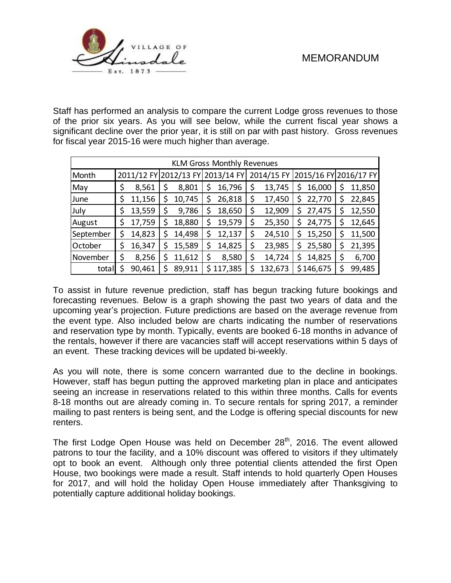

Staff has performed an analysis to compare the current Lodge gross revenues to those of the prior six years. As you will see below, while the current fiscal year shows a significant decline over the prior year, it is still on par with past history. Gross revenues for fiscal year 2015-16 were much higher than average.

| <b>KLM Gross Monthly Revenues</b> |    |        |  |        |                                  |         |            |         |                       |           |    |        |
|-----------------------------------|----|--------|--|--------|----------------------------------|---------|------------|---------|-----------------------|-----------|----|--------|
| Month                             |    |        |  |        | 2011/12 FY 2012/13 FY 2013/14 FY |         | 2014/15 FY |         | 2015/16 FY 2016/17 FY |           |    |        |
| May                               | \$ | 8,561  |  | 8,801  | S                                | 16,796  | \$         | 13,745  | S                     | 16,000    |    | 11,850 |
| June                              | \$ | 11,156 |  | 10,745 | \$                               | 26,818  | \$         | 17,450  | \$                    | 22,770    | S  | 22,845 |
| July                              | \$ | 13,559 |  | 9,786  | S                                | 18,650  | \$         | 12,909  | S                     | 27,475    |    | 12,550 |
| August                            | \$ | 17,759 |  | 18,880 | \$                               | 19,579  | \$         | 25,350  | S                     | 24,775    |    | 12,645 |
| September                         | \$ | 14,823 |  | 14,498 | \$                               | 12,137  | \$         | 24,510  | Ś                     | 15,250    | \$ | 11,500 |
| October                           | \$ | 16,347 |  | 15,589 | \$                               | 14,825  | \$         | 23,985  | Ş                     | 25,580    | Ş  | 21,395 |
| November                          | \$ | 8,256  |  | 11,612 | \$                               | 8,580   | \$         | 14,724  |                       | 14,825    | \$ | 6,700  |
| total                             | \$ | 90,461 |  | 89,911 | Ś.                               | 117,385 | \$         | 132,673 |                       | \$146,675 |    | 99,485 |

To assist in future revenue prediction, staff has begun tracking future bookings and forecasting revenues. Below is a graph showing the past two years of data and the upcoming year's projection. Future predictions are based on the average revenue from the event type. Also included below are charts indicating the number of reservations and reservation type by month. Typically, events are booked 6-18 months in advance of the rentals, however if there are vacancies staff will accept reservations within 5 days of an event. These tracking devices will be updated bi-weekly.

As you will note, there is some concern warranted due to the decline in bookings. However, staff has begun putting the approved marketing plan in place and anticipates seeing an increase in reservations related to this within three months. Calls for events 8-18 months out are already coming in. To secure rentals for spring 2017, a reminder mailing to past renters is being sent, and the Lodge is offering special discounts for new renters.

The first Lodge Open House was held on December  $28<sup>th</sup>$ , 2016. The event allowed patrons to tour the facility, and a 10% discount was offered to visitors if they ultimately opt to book an event. Although only three potential clients attended the first Open House, two bookings were made a result. Staff intends to hold quarterly Open Houses for 2017, and will hold the holiday Open House immediately after Thanksgiving to potentially capture additional holiday bookings.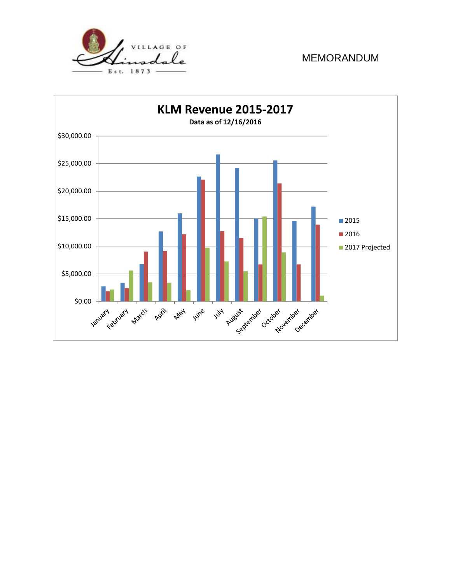

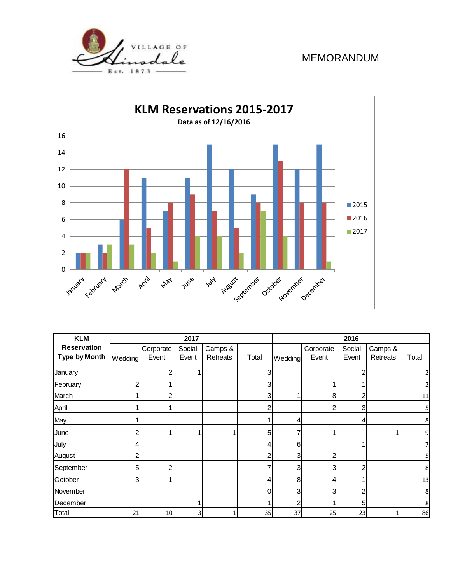



| <b>KLM</b>           |                |           | 2017   |          | 2016  |         |           |                |          |       |
|----------------------|----------------|-----------|--------|----------|-------|---------|-----------|----------------|----------|-------|
| <b>Reservation</b>   |                | Corporate | Social | Camps &  |       |         | Corporate | Social         | Camps &  |       |
| <b>Type by Month</b> | Wedding        | Event     | Event  | Retreats | Total | Wedding | Event     | Event          | Retreats | Total |
| January              |                | 2         |        |          | 3     |         |           | 2              |          |       |
| February             | $\overline{2}$ |           |        |          | 3     |         |           |                |          |       |
| March                |                | 2         |        |          | 3     |         | 8         | 2              |          | 11    |
| April                |                |           |        |          | 2     |         | 2         | 3 <sub>l</sub> |          | 5     |
| May                  |                |           |        |          |       | 4       |           | 4              |          | 8     |
| June                 | 2              |           |        |          | 5     |         |           |                |          | 9     |
| July                 | 4              |           |        |          |       | 6       |           | 4              |          |       |
| August               | 2              |           |        |          |       | 3       | 2         |                |          | 5     |
| September            | 5              | 2         |        |          |       | 3       | 3         | 2              |          | 8     |
| October              | 3              |           |        |          |       | 8       | 4         |                |          | 13    |
| November             |                |           |        |          |       | 3       | 3         | 2              |          | 8     |
| December             |                |           |        |          |       | 2       |           | 5              |          | 8     |
| Total                | 21             | 10        | 3      | 1        | 35    | 37      | 25        | 23             |          | 86    |